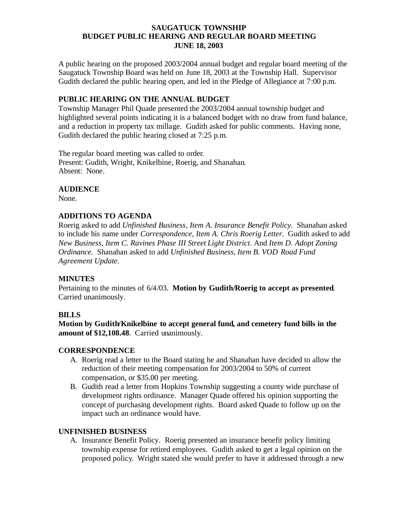## **SAUGATUCK TOWNSHIP BUDGET PUBLIC HEARING AND REGULAR BOARD MEETING JUNE 18, 2003**

A public hearing on the proposed 2003/2004 annual budget and regular board meeting of the Saugatuck Township Board was held on June 18, 2003 at the Township Hall. Supervisor Gudith declared the public hearing open, and led in the Pledge of Allegiance at 7:00 p.m.

# **PUBLIC HEARING ON THE ANNUAL BUDGET**

Township Manager Phil Quade presented the 2003/2004 annual township budget and highlighted several points indicating it is a balanced budget with no draw from fund balance, and a reduction in property tax millage. Gudith asked for public comments. Having none, Gudith declared the public hearing closed at 7:25 p.m.

The regular board meeting was called to order. Present: Gudith, Wright, Knikelbine, Roerig, and Shanahan. Absent: None.

# **AUDIENCE**

None.

# **ADDITIONS TO AGENDA**

Roerig asked to add *Unfinished Business, Item A. Insurance Benefit Policy.* Shanahan asked to include his name under *Correspondence, Item A. Chris Roerig Letter.* Gudith asked to add *New Business, Item C. Ravines Phase III Street Light District.* And *Item D. Adopt Zoning Ordinance.* Shanahan asked to add *Unfinished Business, Item B. VOD Road Fund Agreement Update.*

# **MINUTES**

Pertaining to the minutes of 6/4/03. **Motion by Gudith/Roerig to accept as presented**. Carried unanimously.

#### **BILLS**

**Motion by Gudith/Knikelbine to accept general fund, and cemetery fund bills in the amount of \$12,108.48**. Carried unanimously.

#### **CORRESPONDENCE**

- A. Roerig read a letter to the Board stating he and Shanahan have decided to allow the reduction of their meeting compensation for 2003/2004 to 50% of current compensation, or \$35.00 per meeting.
- B. Gudith read a letter from Hopkins Township suggesting a county wide purchase of development rights ordinance. Manager Quade offered his opinion supporting the concept of purchasing development rights. Board asked Quade to follow up on the impact such an ordinance would have.

#### **UNFINISHED BUSINESS**

A. Insurance Benefit Policy. Roerig presented an insurance benefit policy limiting township expense for retired employees. Gudith asked to get a legal opinion on the proposed policy. Wright stated she would prefer to have it addressed through a new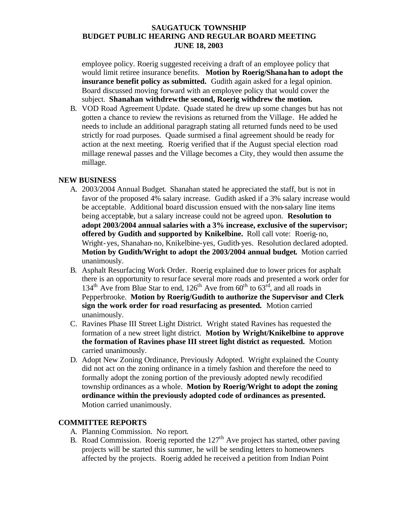# **SAUGATUCK TOWNSHIP BUDGET PUBLIC HEARING AND REGULAR BOARD MEETING JUNE 18, 2003**

employee policy. Roerig suggested receiving a draft of an employee policy that would limit retiree insurance benefits. **Motion by Roerig/Shanahan to adopt the insurance benefit policy as submitted.** Gudith again asked for a legal opinion. Board discussed moving forward with an employee policy that would cover the subject. **Shanahan withdrew the second, Roerig withdrew the motion.**

B. VOD Road Agreement Update. Quade stated he drew up some changes but has not gotten a chance to review the revisions as returned from the Village. He added he needs to include an additional paragraph stating all returned funds need to be used strictly for road purposes. Quade surmised a final agreement should be ready for action at the next meeting. Roerig verified that if the August special election road millage renewal passes and the Village becomes a City, they would then assume the millage.

# **NEW BUSINESS**

- A. 2003/2004 Annual Budget. Shanahan stated he appreciated the staff, but is not in favor of the proposed 4% salary increase. Gudith asked if a 3% salary increase would be acceptable. Additional board discussion ensued with the non-salary line items being acceptable, but a salary increase could not be agreed upon. **Resolution to adopt 2003/2004 annual salaries with a 3% increase, exclusive of the supervisor; offered by Gudith and supported by Knikelbine.** Roll call vote: Roerig-no, Wright-yes, Shanahan-no, Knikelbine-yes, Gudith-yes. Resolution declared adopted. **Motion by Gudith/Wright to adopt the 2003/2004 annual budget.** Motion carried unanimously.
- B. Asphalt Resurfacing Work Order. Roerig explained due to lower prices for asphalt there is an opportunity to resurface several more roads and presented a work order for  $134<sup>th</sup>$  Ave from Blue Star to end,  $126<sup>th</sup>$  Ave from  $60<sup>th</sup>$  to  $63<sup>rd</sup>$ , and all roads in Pepperbrooke. **Motion by Roerig/Gudith to authorize the Supervisor and Clerk sign the work order for road resurfacing as presented.** Motion carried unanimously.
- C. Ravines Phase III Street Light District. Wright stated Ravines has requested the formation of a new street light district. **Motion by Wright/Knikelbine to approve the formation of Ravines phase III street light district as requested.** Motion carried unanimously.
- D. Adopt New Zoning Ordinance, Previously Adopted. Wright explained the County did not act on the zoning ordinance in a timely fashion and therefore the need to formally adopt the zoning portion of the previously adopted newly recodified township ordinances as a whole. **Motion by Roerig/Wright to adopt the zoning ordinance within the previously adopted code of ordinances as presented.**  Motion carried unanimously.

#### **COMMITTEE REPORTS**

- A. Planning Commission. No report.
- B. Road Commission. Roerig reported the  $127<sup>th</sup>$  Ave project has started, other paving projects will be started this summer, he will be sending letters to homeowners affected by the projects. Roerig added he received a petition from Indian Point